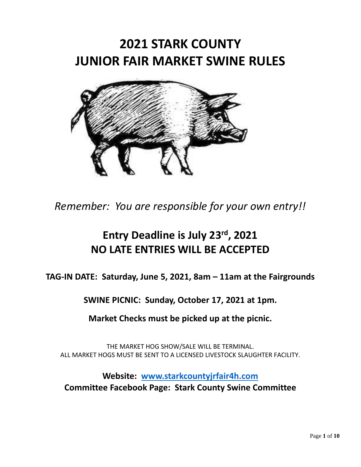# **2021 STARK COUNTY JUNIOR FAIR MARKET SWINE RULES**



*Remember: You are responsible for your own entry!!*

## **Entry Deadline is July 23 rd, 2021 NO LATE ENTRIES WILL BE ACCEPTED**

**TAG-IN DATE: Saturday, June 5, 2021, 8am – 11am at the Fairgrounds**

**SWINE PICNIC: Sunday, October 17, 2021 at 1pm.** 

**Market Checks must be picked up at the picnic.**

THE MARKET HOG SHOW/SALE WILL BE TERMINAL. ALL MARKET HOGS MUST BE SENT TO A LICENSED LIVESTOCK SLAUGHTER FACILITY.

**Website: [www.starkcountyjrfair4h.com](http://www.starkcountyjrfair4h.com/) Committee Facebook Page: Stark County Swine Committee**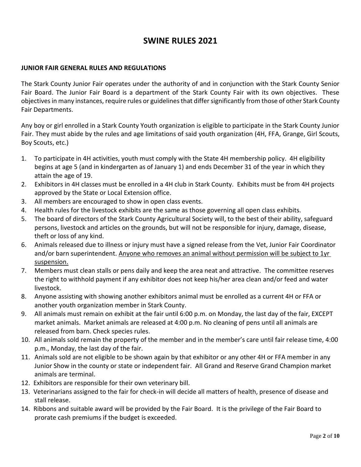## **SWINE RULES 2021**

#### **JUNIOR FAIR GENERAL RULES AND REGULATIONS**

The Stark County Junior Fair operates under the authority of and in conjunction with the Stark County Senior Fair Board. The Junior Fair Board is a department of the Stark County Fair with its own objectives. These objectives in many instances, require rules or guidelines that differ significantly from those of other Stark County Fair Departments.

Any boy or girl enrolled in a Stark County Youth organization is eligible to participate in the Stark County Junior Fair. They must abide by the rules and age limitations of said youth organization (4H, FFA, Grange, Girl Scouts, Boy Scouts, etc.)

- 1. To participate in 4H activities, youth must comply with the State 4H membership policy. 4H eligibility begins at age 5 (and in kindergarten as of January 1) and ends December 31 of the year in which they attain the age of 19.
- 2. Exhibitors in 4H classes must be enrolled in a 4H club in Stark County. Exhibits must be from 4H projects approved by the State or Local Extension office.
- 3. All members are encouraged to show in open class events.
- 4. Health rules for the livestock exhibits are the same as those governing all open class exhibits.
- 5. The board of directors of the Stark County Agricultural Society will, to the best of their ability, safeguard persons, livestock and articles on the grounds, but will not be responsible for injury, damage, disease, theft or loss of any kind.
- 6. Animals released due to illness or injury must have a signed release from the Vet, Junior Fair Coordinator and/or barn superintendent. Anyone who removes an animal without permission will be subject to 1yr suspension.
- 7. Members must clean stalls or pens daily and keep the area neat and attractive. The committee reserves the right to withhold payment if any exhibitor does not keep his/her area clean and/or feed and water livestock.
- 8. Anyone assisting with showing another exhibitors animal must be enrolled as a current 4H or FFA or another youth organization member in Stark County.
- 9. All animals must remain on exhibit at the fair until 6:00 p.m. on Monday, the last day of the fair, EXCEPT market animals. Market animals are released at 4:00 p.m. No cleaning of pens until all animals are released from barn. Check species rules.
- 10. All animals sold remain the property of the member and in the member's care until fair release time, 4:00 p.m., Monday, the last day of the fair.
- 11. Animals sold are not eligible to be shown again by that exhibitor or any other 4H or FFA member in any Junior Show in the county or state or independent fair. All Grand and Reserve Grand Champion market animals are terminal.
- 12. Exhibitors are responsible for their own veterinary bill.
- 13. Veterinarians assigned to the fair for check-in will decide all matters of health, presence of disease and stall release.
- 14. Ribbons and suitable award will be provided by the Fair Board. It is the privilege of the Fair Board to prorate cash premiums if the budget is exceeded.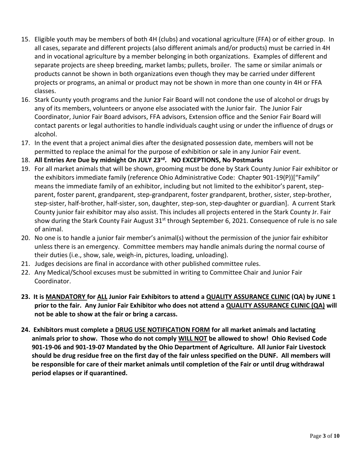- 15. Eligible youth may be members of both 4H (clubs) and vocational agriculture (FFA) or of either group. In all cases, separate and different projects (also different animals and/or products) must be carried in 4H and in vocational agriculture by a member belonging in both organizations. Examples of different and separate projects are sheep breeding, market lambs; pullets, broiler. The same or similar animals or products cannot be shown in both organizations even though they may be carried under different projects or programs, an animal or product may not be shown in more than one county in 4H or FFA classes.
- 16. Stark County youth programs and the Junior Fair Board will not condone the use of alcohol or drugs by any of its members, volunteers or anyone else associated with the Junior fair. The Junior Fair Coordinator, Junior Fair Board advisors, FFA advisors, Extension office and the Senior Fair Board will contact parents or legal authorities to handle individuals caught using or under the influence of drugs or alcohol.
- 17. In the event that a project animal dies after the designated possession date, members will not be permitted to replace the animal for the purpose of exhibition or sale in any Junior Fair event.
- 18. **All Entries Are Due by midnight On JULY 23 rd . NO EXCEPTIONS, No Postmarks**
- 19. For all market animals that will be shown, grooming must be done by Stark County Junior Fair exhibitor or the exhibitors immediate family (reference Ohio Administrative Code: Chapter 901-19(P))["Family" means the immediate family of an exhibitor, including but not limited to the exhibitor's parent, stepparent, foster parent, grandparent, step-grandparent, foster grandparent, brother, sister, step-brother, step-sister, half-brother, half-sister, son, daughter, step-son, step-daughter or guardian]. A current Stark County junior fair exhibitor may also assist. This includes all projects entered in the Stark County Jr. Fair show during the Stark County Fair August 31<sup>st</sup> through September 6, 2021. Consequence of rule is no sale of animal.
- 20. No one is to handle a junior fair member's animal(s) without the permission of the junior fair exhibitor unless there is an emergency. Committee members may handle animals during the normal course of their duties (i.e., show, sale, weigh-in, pictures, loading, unloading).
- 21. Judges decisions are final in accordance with other published committee rules.
- 22. Any Medical/School excuses must be submitted in writing to Committee Chair and Junior Fair Coordinator.
- **23. It is MANDATORY for ALL Junior Fair Exhibitors to attend a QUALITY ASSURANCE CLINIC (QA) by JUNE 1 prior to the fair. Any Junior Fair Exhibitor who does not attend a QUALITY ASSURANCE CLINIC (QA) will not be able to show at the fair or bring a carcass.**
- **24. Exhibitors must complete a DRUG USE NOTIFICATION FORM for all market animals and lactating animals prior to show. Those who do not comply WILL NOT be allowed to show! Ohio Revised Code 901-19-06 and 901-19-07 Mandated by the Ohio Department of Agriculture. All Junior Fair Livestock should be drug residue free on the first day of the fair unless specified on the DUNF. All members will be responsible for care of their market animals until completion of the Fair or until drug withdrawal period elapses or if quarantined.**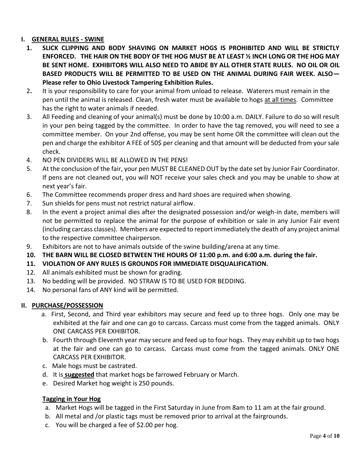#### **I. GENERAL RULES - SWINE**

- **1. SLICK CLIPPING AND BODY SHAVING ON MARKET HOGS IS PROHIBITED AND WILL BE STRICTLY ENFORCED. THE HAIR ON THE BODY OF THE HOG MUST BE AT LEAST ½ INCH LONG OR THE HOG MAY BE SENT HOME. EXHIBITORS WILL ALSO NEED TO ABIDE BY ALL OTHER STATE RULES. NO OIL OR OIL BASED PRODUCTS WILL BE PERMITTED TO BE USED ON THE ANIMAL DURING FAIR WEEK. ALSO— Please refer to Ohio Livestock Tampering Exhibition Rules.**
- 2**.** It is your responsibility to care for your animal from unload to release. Waterers must remain in the pen until the animal is released. Clean, fresh water must be available to hogs at all times. Committee has the right to water animals if needed.
- 3. All Feeding and cleaning of your animal(s) must be done by 10:00 a.m. DAILY. Failure to do so will result in your pen being tagged by the committee. In order to have the tag removed, you will need to see a committee member. On your 2nd offense, you may be sent home OR the committee will clean out the pen and charge the exhibitor A FEE of 50\$ per cleaning and that amount will be deducted from your sale check.
- 4. NO PEN DIVIDERS WILL BE ALLOWED IN THE PENS!
- 5. At the conclusion of the fair, your pen MUST BE CLEANED OUT by the date set by Junior Fair Coordinator. If pens are not cleaned out, you will NOT receive your sales check and you may be unable to show at next year's fair.
- 6. The Committee recommends proper dress and hard shoes are required when showing.
- 7. Sun shields for pens must not restrict natural airflow.
- 8. In the event a project animal dies after the designated possession and/or weigh-in date, members will not be permitted to replace the animal for the purpose of exhibition or sale in any Junior Fair event (including carcass classes). Members are expected to report immediately the death of any project animal to the respective committee chairperson.
- 9. Exhibitors are not to have animals outside of the swine building/arena at any time.
- **10. THE BARN WILL BE CLOSED BETWEEN THE HOURS OF 11:00 p.m. and 6:00 a.m. during the fair.**
- **11. VIOLATION OF ANY RULES IS GROUNDS FOR IMMEDIATE DISQUALIFICATION.**
- 12. All animals exhibited must be shown for grading.
- 13. No bedding will be provided. NO STRAW IS TO BE USED FOR BEDDING.
- 14. No personal fans of ANY kind will be permitted.

#### **II. PURCHASE/POSSESSION**

- a. First, Second, and Third year exhibitors may secure and feed up to three hogs. Only one may be exhibited at the fair and one can go to carcass. Carcass must come from the tagged animals. ONLY ONE CARCASS PER EXHIBITOR.
- b. Fourth through Eleventh year may secure and feed up to four hogs. They may exhibit up to two hogs at the fair and one can go to carcass. Carcass must come from the tagged animals. ONLY ONE CARCASS PER EXHIBITOR.
- c. Male hogs must be castrated.
- d. It is **suggested** that market hogs be farrowed February or March.
- e. Desired Market hog weight is 250 pounds.

#### **Tagging in Your Hog**

- a. Market Hogs will be tagged in the First Saturday in June from 8am to 11 am at the fair ground.
- b. All metal and /or plastic tags must be removed prior to arrival at the fairgrounds.
- c. You will be charged a fee of \$2.00 per hog.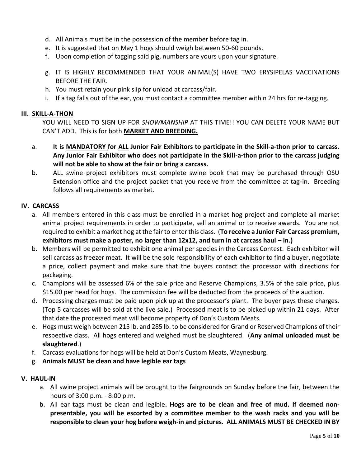- d. All Animals must be in the possession of the member before tag in.
- e. It is suggested that on May 1 hogs should weigh between 50-60 pounds.
- f. Upon completion of tagging said pig, numbers are yours upon your signature.
- g. IT IS HIGHLY RECOMMENDED THAT YOUR ANIMAL(S) HAVE TWO ERYSIPELAS VACCINATIONS BEFORE THE FAIR.
- h. You must retain your pink slip for unload at carcass/fair.
- i. If a tag falls out of the ear, you must contact a committee member within 24 hrs for re-tagging.

#### **III. SKILL-A-THON**

YOU WILL NEED TO SIGN UP FOR *SHOWMANSHIP* AT THIS TIME!! YOU CAN DELETE YOUR NAME BUT CAN'T ADD. This is for both **MARKET AND BREEDING.**

- a. **It is MANDATORY for ALL Junior Fair Exhibitors to participate in the Skill-a-thon prior to carcass. Any Junior Fair Exhibitor who does not participate in the Skill-a-thon prior to the carcass judging will not be able to show at the fair or bring a carcass.**
- b. ALL swine project exhibitors must complete swine book that may be purchased through OSU Extension office and the project packet that you receive from the committee at tag-in. Breeding follows all requirements as market.

#### **IV. CARCASS**

- a. All members entered in this class must be enrolled in a market hog project and complete all market animal project requirements in order to participate, sell an animal or to receive awards. You are not required to exhibit a market hog at the fair to enter this class. (**To receive a Junior Fair Carcass premium, exhibitors must make a poster, no larger than 12x12, and turn in at carcass haul – in.)**
- b. Members will be permitted to exhibit one animal per species in the Carcass Contest. Each exhibitor will sell carcass as freezer meat. It will be the sole responsibility of each exhibitor to find a buyer, negotiate a price, collect payment and make sure that the buyers contact the processor with directions for packaging.
- c. Champions will be assessed 6% of the sale price and Reserve Champions, 3.5% of the sale price, plus \$15.00 per head for hogs. The commission fee will be deducted from the proceeds of the auction.
- d. Processing charges must be paid upon pick up at the processor's plant. The buyer pays these charges. (Top 5 carcasses will be sold at the live sale.) Processed meat is to be picked up within 21 days. After that date the processed meat will become property of Don's Custom Meats.
- e. Hogs must weigh between 215 lb. and 285 lb. to be considered for Grand or Reserved Champions of their respective class. All hogs entered and weighed must be slaughtered. (**Any animal unloaded must be slaughtered**.)
- f. Carcass evaluations for hogs will be held at Don's Custom Meats, Waynesburg.
- g. **Animals MUST be clean and have legible ear tags**

#### **V. HAUL-IN**

- a. All swine project animals will be brought to the fairgrounds on Sunday before the fair, between the hours of 3:00 p.m. - 8:00 p.m.
- b. All ear tags must be clean and legible**. Hogs are to be clean and free of mud. If deemed nonpresentable, you will be escorted by a committee member to the wash racks and you will be responsible to clean your hog before weigh-in and pictures. ALL ANIMALS MUST BE CHECKED IN BY**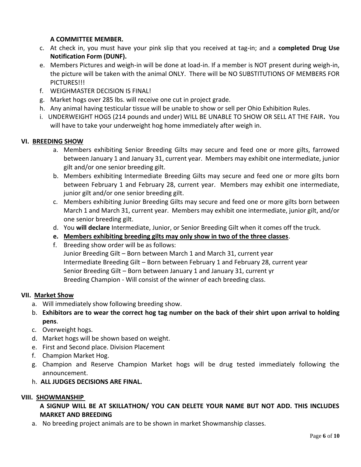#### **A COMMITTEE MEMBER.**

- c. At check in, you must have your pink slip that you received at tag-in; and a **completed Drug Use Notification Form (DUNF).**
- e. Members Pictures and weigh-in will be done at load-in. If a member is NOT present during weigh-in, the picture will be taken with the animal ONLY. There will be NO SUBSTITUTIONS OF MEMBERS FOR PICTURES!!!
- f. WEIGHMASTER DECISION IS FINAL!
- g. Market hogs over 285 lbs. will receive one cut in project grade.
- h. Any animal having testicular tissue will be unable to show or sell per Ohio Exhibition Rules.
- i. UNDERWEIGHT HOGS (214 pounds and under) WILL BE UNABLE TO SHOW OR SELL AT THE FAIR**.** You will have to take your underweight hog home immediately after weigh in.

#### **VI. BREEDING SHOW**

- a. Members exhibiting Senior Breeding Gilts may secure and feed one or more gilts, farrowed between January 1 and January 31, current year. Members may exhibit one intermediate, junior gilt and/or one senior breeding gilt.
- b. Members exhibiting Intermediate Breeding Gilts may secure and feed one or more gilts born between February 1 and February 28, current year. Members may exhibit one intermediate, junior gilt and/or one senior breeding gilt.
- c. Members exhibiting Junior Breeding Gilts may secure and feed one or more gilts born between March 1 and March 31, current year. Members may exhibit one intermediate, junior gilt, and/or one senior breeding gilt.
- d. You **will declare** Intermediate, Junior, or Senior Breeding Gilt when it comes off the truck.
- **e. Members exhibiting breeding gilts may only show in two of the three classes**.
- f. Breeding show order will be as follows: Junior Breeding Gilt – Born between March 1 and March 31, current year Intermediate Breeding Gilt – Born between February 1 and February 28, current year Senior Breeding Gilt – Born between January 1 and January 31, current yr Breeding Champion - Will consist of the winner of each breeding class.

#### **VII. Market Show**

- a. Will immediately show following breeding show.
- b. **Exhibitors are to wear the correct hog tag number on the back of their shirt upon arrival to holding pens**.
- c. Overweight hogs.
- d. Market hogs will be shown based on weight.
- e. First and Second place. Division Placement
- f. Champion Market Hog.
- g. Champion and Reserve Champion Market hogs will be drug tested immediately following the announcement.
- h. **ALL JUDGES DECISIONS ARE FINAL.**

#### **VIII. SHOWMANSHIP**

#### **A SIGNUP WILL BE AT SKILLATHON/ YOU CAN DELETE YOUR NAME BUT NOT ADD. THIS INCLUDES MARKET AND BREEDING**

a. No breeding project animals are to be shown in market Showmanship classes.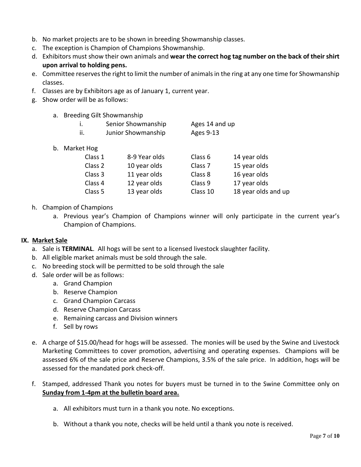- b. No market projects are to be shown in breeding Showmanship classes.
- c. The exception is Champion of Champions Showmanship.
- d. Exhibitors must show their own animals and **wear the correct hog tag number on the back of their shirt upon arrival to holding pens.**
- e. Committee reserves the right to limit the number of animals in the ring at any one time for Showmanship classes.
- f. Classes are by Exhibitors age as of January 1, current year.
- g. Show order will be as follows:
	- a. Breeding Gilt Showmanship

|     | Senior Showmanship | Ages 14 and up |
|-----|--------------------|----------------|
| ii. | Junior Showmanship | Ages 9-13      |

b. Market Hog

| Class 1 | 8-9 Year olds | Class 6            | 14 year olds        |
|---------|---------------|--------------------|---------------------|
| Class 2 | 10 year olds  | Class <sub>7</sub> | 15 year olds        |
| Class 3 | 11 year olds  | Class 8            | 16 year olds        |
| Class 4 | 12 year olds  | Class 9            | 17 year olds        |
| Class 5 | 13 year olds  | Class 10           | 18 year olds and up |

#### h. Champion of Champions

a. Previous year's Champion of Champions winner will only participate in the current year's Champion of Champions.

#### **IX. Market Sale**

- a. Sale is **TERMINAL**. All hogs will be sent to a licensed livestock slaughter facility.
- b. All eligible market animals must be sold through the sale.
- c. No breeding stock will be permitted to be sold through the sale
- d. Sale order will be as follows:
	- a. Grand Champion
	- b. Reserve Champion
	- c. Grand Champion Carcass
	- d. Reserve Champion Carcass
	- e. Remaining carcass and Division winners
	- f. Sell by rows
- e. A charge of \$15.00/head for hogs will be assessed. The monies will be used by the Swine and Livestock Marketing Committees to cover promotion, advertising and operating expenses. Champions will be assessed 6% of the sale price and Reserve Champions, 3.5% of the sale price. In addition, hogs will be assessed for the mandated pork check-off.
- f. Stamped, addressed Thank you notes for buyers must be turned in to the Swine Committee only on **Sunday from 1-4pm at the bulletin board area.**
	- a. All exhibitors must turn in a thank you note. No exceptions.
	- b. Without a thank you note, checks will be held until a thank you note is received.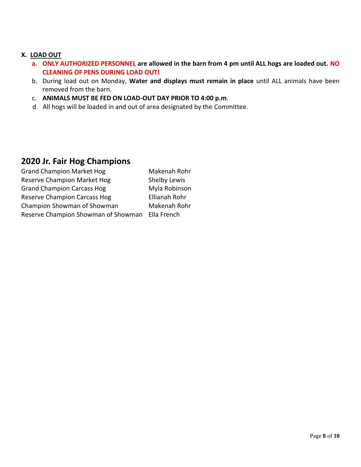#### **X. LOAD OUT**

- **a. ONLY AUTHORIZED PERSONNEL are allowed in the barn from 4 pm until ALL hogs are loaded out. NO CLEANING OF PENS DURING LOAD OUT!**
- b. During load out on Monday, **Water and displays must remain in place** until ALL animals have been removed from the barn.
- c. **ANIMALS MUST BE FED ON LOAD-OUT DAY PRIOR TO 4:00 p.m**.
- d. All hogs will be loaded in and out of area designated by the Committee.

### **2020 Jr. Fair Hog Champions**

| <b>Grand Champion Market Hog</b>                | Makenah Rohr  |
|-------------------------------------------------|---------------|
| Reserve Champion Market Hog                     | Shelby Lewis  |
| <b>Grand Champion Carcass Hog</b>               | Myla Robinson |
| <b>Reserve Champion Carcass Hog</b>             | Ellianah Rohr |
| Champion Showman of Showman                     | Makenah Rohr  |
| Reserve Champion Showman of Showman Ella French |               |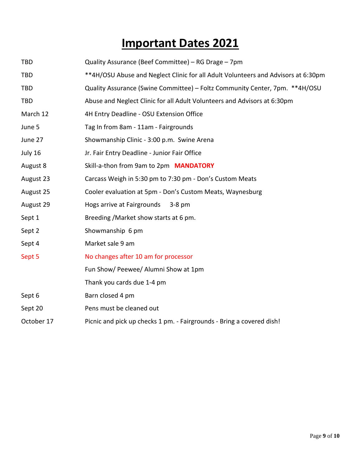# **Important Dates 2021**

| <b>TBD</b> | Quality Assurance (Beef Committee) - RG Drage - 7pm                               |
|------------|-----------------------------------------------------------------------------------|
| <b>TBD</b> | **4H/OSU Abuse and Neglect Clinic for all Adult Volunteers and Advisors at 6:30pm |
| <b>TBD</b> | Quality Assurance (Swine Committee) - Foltz Community Center, 7pm. **4H/OSU       |
| <b>TBD</b> | Abuse and Neglect Clinic for all Adult Volunteers and Advisors at 6:30pm          |
| March 12   | 4H Entry Deadline - OSU Extension Office                                          |
| June 5     | Tag In from 8am - 11am - Fairgrounds                                              |
| June 27    | Showmanship Clinic - 3:00 p.m. Swine Arena                                        |
| July 16    | Jr. Fair Entry Deadline - Junior Fair Office                                      |
| August 8   | Skill-a-thon from 9am to 2pm MANDATORY                                            |
| August 23  | Carcass Weigh in 5:30 pm to 7:30 pm - Don's Custom Meats                          |
| August 25  | Cooler evaluation at 5pm - Don's Custom Meats, Waynesburg                         |
| August 29  | Hogs arrive at Fairgrounds<br>$3-8$ pm                                            |
| Sept 1     | Breeding / Market show starts at 6 pm.                                            |
| Sept 2     | Showmanship 6 pm                                                                  |
| Sept 4     | Market sale 9 am                                                                  |
| Sept 5     | No changes after 10 am for processor                                              |
|            | Fun Show/ Peewee/ Alumni Show at 1pm                                              |
|            | Thank you cards due 1-4 pm                                                        |
| Sept 6     | Barn closed 4 pm                                                                  |
| Sept 20    | Pens must be cleaned out                                                          |
| October 17 | Picnic and pick up checks 1 pm. - Fairgrounds - Bring a covered dish!             |